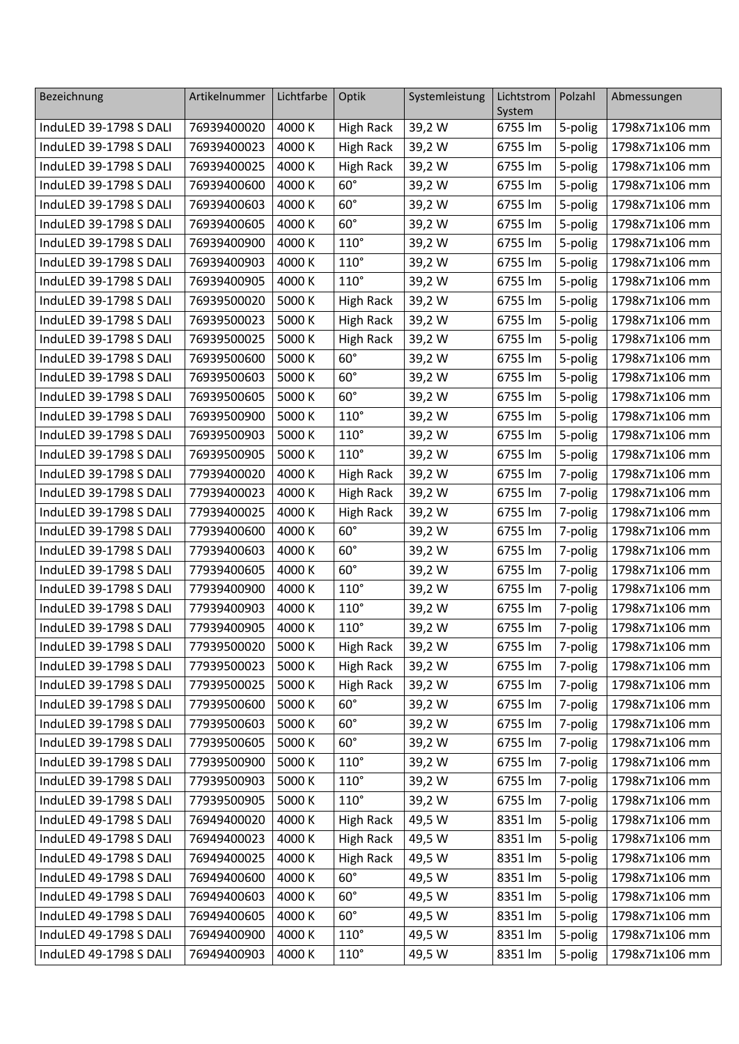| Bezeichnung            | Artikelnummer      | Lichtfarbe | Optik            | Systemleistung | Lichtstrom        | Polzahl            | Abmessungen    |
|------------------------|--------------------|------------|------------------|----------------|-------------------|--------------------|----------------|
| InduLED 39-1798 S DALI | 76939400020        | 4000 K     | <b>High Rack</b> | 39,2 W         | System<br>6755 lm |                    | 1798x71x106 mm |
| InduLED 39-1798 S DALI | 76939400023        | 4000 K     | <b>High Rack</b> | 39,2 W         | 6755 lm           | 5-polig<br>5-polig | 1798x71x106 mm |
| InduLED 39-1798 S DALI | 76939400025        | 4000 K     | <b>High Rack</b> | 39,2 W         | 6755 lm           | 5-polig            | 1798x71x106 mm |
| InduLED 39-1798 S DALI | 76939400600        | 4000 K     | $60^\circ$       | 39,2 W         | 6755 lm           | 5-polig            | 1798x71x106 mm |
| InduLED 39-1798 S DALI | 76939400603        | 4000 K     | $60^\circ$       |                | 6755 lm           |                    | 1798x71x106 mm |
|                        |                    |            |                  | 39,2 W         |                   | 5-polig            |                |
| InduLED 39-1798 S DALI | 76939400605        | 4000 K     | $60^\circ$       | 39,2 W         | 6755 lm           | 5-polig            | 1798x71x106 mm |
| InduLED 39-1798 S DALI | 76939400900        | 4000 K     | $110^\circ$      | 39,2 W         | 6755 lm           | 5-polig            | 1798x71x106 mm |
| InduLED 39-1798 S DALI | 76939400903        | 4000 K     | $110^\circ$      | 39,2 W         | 6755 lm           | 5-polig            | 1798x71x106 mm |
| InduLED 39-1798 S DALI | 76939400905        | 4000 K     | $110^\circ$      | 39,2 W         | 6755 lm           | 5-polig            | 1798x71x106 mm |
| InduLED 39-1798 S DALI | 76939500020        | 5000 K     | <b>High Rack</b> | 39,2 W         | 6755 lm           | 5-polig            | 1798x71x106 mm |
| InduLED 39-1798 S DALI | 76939500023        | 5000 K     | <b>High Rack</b> | 39,2 W         | 6755 lm           | 5-polig            | 1798x71x106 mm |
| InduLED 39-1798 S DALI | 76939500025        | 5000 K     | <b>High Rack</b> | 39,2 W         | 6755 lm           | 5-polig            | 1798x71x106 mm |
| InduLED 39-1798 S DALI | 76939500600        | 5000 K     | $60^\circ$       | 39,2 W         | 6755 lm           | 5-polig            | 1798x71x106 mm |
| InduLED 39-1798 S DALI | 76939500603        | 5000 K     | $60^\circ$       | 39,2 W         | 6755 lm           | 5-polig            | 1798x71x106 mm |
| InduLED 39-1798 S DALI | 76939500605        | 5000 K     | $60^\circ$       | 39,2 W         | 6755 lm           | 5-polig            | 1798x71x106 mm |
| InduLED 39-1798 S DALI | 76939500900        | 5000 K     | $110^\circ$      | 39,2 W         | 6755 lm           | 5-polig            | 1798x71x106 mm |
| InduLED 39-1798 S DALI | 76939500903        | 5000 K     | $110^\circ$      | 39,2 W         | 6755 lm           | 5-polig            | 1798x71x106 mm |
| InduLED 39-1798 S DALI | 76939500905        | 5000 K     | $110^\circ$      | 39,2 W         | 6755 lm           | 5-polig            | 1798x71x106 mm |
| InduLED 39-1798 S DALI | 77939400020        | 4000 K     | <b>High Rack</b> | 39,2 W         | 6755 lm           | 7-polig            | 1798x71x106 mm |
| InduLED 39-1798 S DALI | 77939400023        | 4000 K     | <b>High Rack</b> | 39,2 W         | 6755 lm           | 7-polig            | 1798x71x106 mm |
| InduLED 39-1798 S DALI | 77939400025        | 4000 K     | <b>High Rack</b> | 39,2 W         | 6755 lm           | 7-polig            | 1798x71x106 mm |
| InduLED 39-1798 S DALI | 77939400600        | 4000 K     | $60^\circ$       | 39,2 W         | 6755 lm           | 7-polig            | 1798x71x106 mm |
| InduLED 39-1798 S DALI | 77939400603        | 4000 K     | $60^\circ$       | 39,2 W         | 6755 lm           | 7-polig            | 1798x71x106 mm |
| InduLED 39-1798 S DALI | 77939400605        | 4000 K     | $60^\circ$       | 39,2 W         | 6755 lm           | 7-polig            | 1798x71x106 mm |
| InduLED 39-1798 S DALI | 77939400900        | 4000 K     | $110^\circ$      | 39,2 W         | 6755 lm           | 7-polig            | 1798x71x106 mm |
| InduLED 39-1798 S DALI | 77939400903        | 4000 K     | $110^\circ$      | 39,2 W         | 6755 lm           | 7-polig            | 1798x71x106 mm |
| InduLED 39-1798 S DALI | 77939400905        | 4000 K     | $110^\circ$      | 39,2 W         | 6755 lm           | 7-polig            | 1798x71x106 mm |
| InduLED 39-1798 S DALI | 77939500020 5000 K |            | High Rack        | 739,2W         | 6755 lm           | 7-polig            | 1798x71x106 mm |
| InduLED 39-1798 S DALI | 77939500023        | 5000 K     | <b>High Rack</b> | 39,2 W         | 6755 lm           | 7-polig            | 1798x71x106 mm |
| InduLED 39-1798 S DALI | 77939500025        | 5000 K     | <b>High Rack</b> | 39,2 W         | 6755 lm           | 7-polig            | 1798x71x106 mm |
| InduLED 39-1798 S DALI | 77939500600        | 5000 K     | $60^\circ$       | 39,2 W         | 6755 lm           | 7-polig            | 1798x71x106 mm |
| InduLED 39-1798 S DALI | 77939500603        | 5000 K     | $60^\circ$       | 39,2 W         | 6755 lm           | 7-polig            | 1798x71x106 mm |
| InduLED 39-1798 S DALI | 77939500605        | 5000 K     | $60^\circ$       | 39,2 W         | 6755 lm           | 7-polig            | 1798x71x106 mm |
| InduLED 39-1798 S DALI | 77939500900        | 5000 K     | $110^\circ$      | 39,2 W         | 6755 lm           | 7-polig            | 1798x71x106 mm |
| InduLED 39-1798 S DALI | 77939500903        | 5000 K     | $110^\circ$      | 39,2 W         | 6755 lm           | 7-polig            | 1798x71x106 mm |
| InduLED 39-1798 S DALI | 77939500905        | 5000 K     | $110^\circ$      | 39,2 W         | 6755 lm           | 7-polig            | 1798x71x106 mm |
| InduLED 49-1798 S DALI | 76949400020        | 4000 K     | <b>High Rack</b> | 49,5 W         | 8351 lm           | 5-polig            | 1798x71x106 mm |
| InduLED 49-1798 S DALI | 76949400023        | 4000 K     | <b>High Rack</b> | 49,5 W         | 8351 lm           | 5-polig            | 1798x71x106 mm |
| InduLED 49-1798 S DALI | 76949400025        | 4000 K     | <b>High Rack</b> | 49,5 W         | 8351 lm           | 5-polig            | 1798x71x106 mm |
| InduLED 49-1798 S DALI | 76949400600        | 4000 K     | $60^\circ$       | 49,5 W         | 8351 lm           | 5-polig            | 1798x71x106 mm |
| InduLED 49-1798 S DALI | 76949400603        | 4000 K     | $60^\circ$       | 49,5 W         | 8351 lm           | 5-polig            | 1798x71x106 mm |
| InduLED 49-1798 S DALI | 76949400605        | 4000 K     | $60^\circ$       | 49,5 W         | 8351 lm           | 5-polig            | 1798x71x106 mm |
| InduLED 49-1798 S DALI | 76949400900        | 4000 K     | $110^\circ$      | 49,5 W         | 8351 lm           | 5-polig            | 1798x71x106 mm |
| InduLED 49-1798 S DALI | 76949400903        | 4000 K     | $110^\circ$      | 49,5 W         | 8351 lm           | 5-polig            | 1798x71x106 mm |
|                        |                    |            |                  |                |                   |                    |                |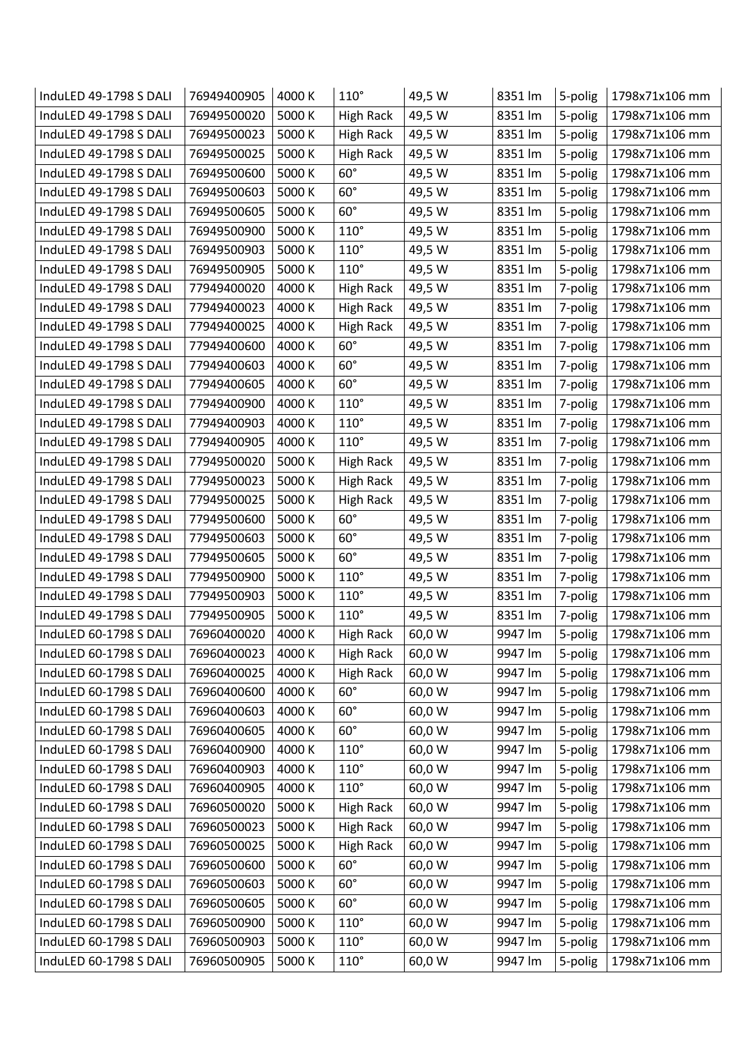| InduLED 49-1798 S DALI | 76949400905 | 4000 K | $110^\circ$      | 49,5 W | 8351 lm | 5-polig | 1798x71x106 mm |
|------------------------|-------------|--------|------------------|--------|---------|---------|----------------|
| InduLED 49-1798 S DALI | 76949500020 | 5000 K | <b>High Rack</b> | 49,5 W | 8351 lm | 5-polig | 1798x71x106 mm |
| InduLED 49-1798 S DALI | 76949500023 | 5000 K | <b>High Rack</b> | 49,5 W | 8351 lm | 5-polig | 1798x71x106 mm |
| InduLED 49-1798 S DALI | 76949500025 | 5000 K | <b>High Rack</b> | 49,5 W | 8351 lm | 5-polig | 1798x71x106 mm |
| InduLED 49-1798 S DALI | 76949500600 | 5000 K | $60^\circ$       | 49,5 W | 8351 lm | 5-polig | 1798x71x106 mm |
| InduLED 49-1798 S DALI | 76949500603 | 5000 K | $60^\circ$       | 49,5 W | 8351 lm | 5-polig | 1798x71x106 mm |
| InduLED 49-1798 S DALI | 76949500605 | 5000 K | $60^\circ$       | 49,5 W | 8351 lm | 5-polig | 1798x71x106 mm |
| InduLED 49-1798 S DALI | 76949500900 | 5000 K | $110^\circ$      | 49,5 W | 8351 lm | 5-polig | 1798x71x106 mm |
| InduLED 49-1798 S DALI | 76949500903 | 5000 K | $110^\circ$      | 49,5 W | 8351 lm | 5-polig | 1798x71x106 mm |
| InduLED 49-1798 S DALI | 76949500905 | 5000 K | $110^\circ$      | 49,5 W | 8351 lm | 5-polig | 1798x71x106 mm |
| InduLED 49-1798 S DALI | 77949400020 | 4000 K | <b>High Rack</b> | 49,5 W | 8351 lm | 7-polig | 1798x71x106 mm |
| InduLED 49-1798 S DALI | 77949400023 | 4000 K | <b>High Rack</b> | 49,5 W | 8351 lm | 7-polig | 1798x71x106 mm |
| InduLED 49-1798 S DALI | 77949400025 | 4000 K | <b>High Rack</b> | 49,5 W | 8351 lm | 7-polig | 1798x71x106 mm |
| InduLED 49-1798 S DALI | 77949400600 | 4000 K | $60^\circ$       | 49,5 W | 8351 lm | 7-polig | 1798x71x106 mm |
| InduLED 49-1798 S DALI | 77949400603 | 4000 K | $60^\circ$       | 49,5 W | 8351 lm | 7-polig | 1798x71x106 mm |
| InduLED 49-1798 S DALI | 77949400605 | 4000 K | $60^\circ$       | 49,5 W | 8351 lm | 7-polig | 1798x71x106 mm |
| InduLED 49-1798 S DALI | 77949400900 | 4000 K | $110^\circ$      | 49,5 W | 8351 lm | 7-polig | 1798x71x106 mm |
| InduLED 49-1798 S DALI | 77949400903 | 4000 K | $110^\circ$      | 49,5 W | 8351 lm | 7-polig | 1798x71x106 mm |
| InduLED 49-1798 S DALI | 77949400905 | 4000 K | $110^\circ$      | 49,5 W | 8351 lm | 7-polig | 1798x71x106 mm |
| InduLED 49-1798 S DALI | 77949500020 | 5000 K | <b>High Rack</b> | 49,5 W | 8351 lm | 7-polig | 1798x71x106 mm |
| InduLED 49-1798 S DALI | 77949500023 | 5000 K | <b>High Rack</b> | 49,5 W | 8351 lm | 7-polig | 1798x71x106 mm |
| InduLED 49-1798 S DALI | 77949500025 | 5000 K | <b>High Rack</b> | 49,5 W | 8351 lm | 7-polig | 1798x71x106 mm |
| InduLED 49-1798 S DALI | 77949500600 | 5000 K | $60^\circ$       | 49,5 W | 8351 lm | 7-polig | 1798x71x106 mm |
| InduLED 49-1798 S DALI | 77949500603 | 5000 K | $60^\circ$       | 49,5 W | 8351 lm | 7-polig | 1798x71x106 mm |
| InduLED 49-1798 S DALI | 77949500605 | 5000 K | $60^\circ$       | 49,5 W | 8351 lm | 7-polig | 1798x71x106 mm |
| InduLED 49-1798 S DALI | 77949500900 | 5000 K | $110^\circ$      | 49,5 W | 8351 lm | 7-polig | 1798x71x106 mm |
| InduLED 49-1798 S DALI | 77949500903 | 5000 K | $110^\circ$      | 49,5 W | 8351 lm | 7-polig | 1798x71x106 mm |
| InduLED 49-1798 S DALI | 77949500905 | 5000 K | $110^\circ$      | 49,5 W | 8351 lm | 7-polig | 1798x71x106 mm |
| InduLED 60-1798 S DALI | 76960400020 | 4000 K | <b>High Rack</b> | 60,0 W | 9947 lm | 5-polig | 1798x71x106 mm |
| InduLED 60-1798 S DALI | 76960400023 | 4000 K | <b>High Rack</b> | 60,0 W | 9947 lm | 5-polig | 1798x71x106 mm |
| InduLED 60-1798 S DALI | 76960400025 | 4000 K | <b>High Rack</b> | 60,0 W | 9947 lm | 5-polig | 1798x71x106 mm |
| InduLED 60-1798 S DALI | 76960400600 | 4000 K | $60^\circ$       | 60,0 W | 9947 lm | 5-polig | 1798x71x106 mm |
| InduLED 60-1798 S DALI | 76960400603 | 4000 K | $60^\circ$       | 60,0 W | 9947 lm | 5-polig | 1798x71x106 mm |
| InduLED 60-1798 S DALI | 76960400605 | 4000 K | $60^\circ$       | 60,0 W | 9947 lm | 5-polig | 1798x71x106 mm |
| InduLED 60-1798 S DALI | 76960400900 | 4000 K | $110^\circ$      | 60,0 W | 9947 lm | 5-polig | 1798x71x106 mm |
| InduLED 60-1798 S DALI | 76960400903 | 4000 K | $110^\circ$      | 60,0 W | 9947 lm | 5-polig | 1798x71x106 mm |
| InduLED 60-1798 S DALI | 76960400905 | 4000 K | $110^\circ$      | 60,0 W | 9947 lm | 5-polig | 1798x71x106 mm |
| InduLED 60-1798 S DALI | 76960500020 | 5000 K | <b>High Rack</b> | 60,0 W | 9947 lm | 5-polig | 1798x71x106 mm |
| InduLED 60-1798 S DALI | 76960500023 | 5000 K | <b>High Rack</b> | 60,0 W | 9947 lm | 5-polig | 1798x71x106 mm |
| InduLED 60-1798 S DALI | 76960500025 | 5000 K | <b>High Rack</b> | 60,0 W | 9947 lm | 5-polig | 1798x71x106 mm |
| InduLED 60-1798 S DALI | 76960500600 | 5000 K | $60^\circ$       | 60,0 W | 9947 lm | 5-polig | 1798x71x106 mm |
| InduLED 60-1798 S DALI | 76960500603 | 5000 K | $60^\circ$       | 60,0 W | 9947 lm | 5-polig | 1798x71x106 mm |
| InduLED 60-1798 S DALI | 76960500605 | 5000 K | $60^\circ$       | 60,0 W | 9947 lm | 5-polig | 1798x71x106 mm |
| InduLED 60-1798 S DALI | 76960500900 | 5000 K | $110^\circ$      | 60,0 W | 9947 lm | 5-polig | 1798x71x106 mm |
| InduLED 60-1798 S DALI | 76960500903 | 5000 K | $110^\circ$      | 60,0 W | 9947 lm | 5-polig | 1798x71x106 mm |
| InduLED 60-1798 S DALI | 76960500905 | 5000 K | $110^\circ$      | 60,0 W | 9947 lm | 5-polig | 1798x71x106 mm |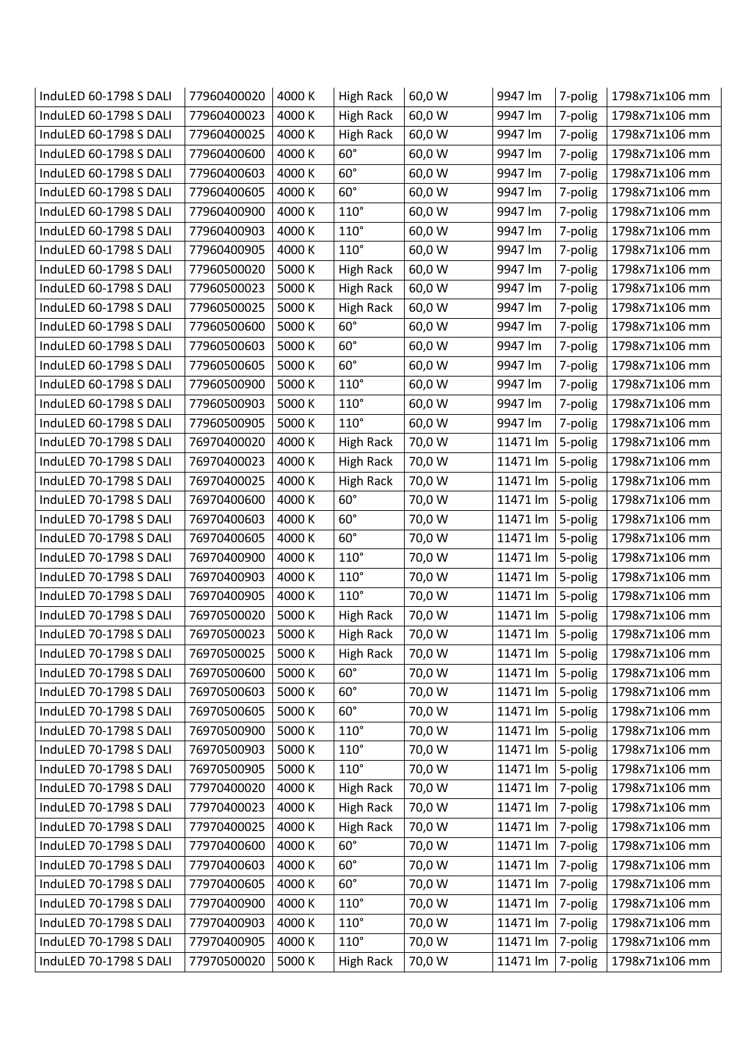| 60,0 W<br>InduLED 60-1798 S DALI<br>77960400023<br>4000 K<br>9947 lm<br>1798x71x106 mm<br><b>High Rack</b><br>7-polig<br>InduLED 60-1798 S DALI<br>77960400025<br>4000 K<br><b>High Rack</b><br>60,0 W<br>9947 lm<br>7-polig<br>1798x71x106 mm<br>$60^\circ$<br>InduLED 60-1798 S DALI<br>4000 K<br>60,0 W<br>77960400600<br>9947 lm<br>1798x71x106 mm<br>7-polig<br>$60^\circ$<br>InduLED 60-1798 S DALI<br>77960400603<br>4000 K<br>1798x71x106 mm<br>9947 lm<br>7-polig |
|----------------------------------------------------------------------------------------------------------------------------------------------------------------------------------------------------------------------------------------------------------------------------------------------------------------------------------------------------------------------------------------------------------------------------------------------------------------------------|
|                                                                                                                                                                                                                                                                                                                                                                                                                                                                            |
|                                                                                                                                                                                                                                                                                                                                                                                                                                                                            |
|                                                                                                                                                                                                                                                                                                                                                                                                                                                                            |
| 60,0 W                                                                                                                                                                                                                                                                                                                                                                                                                                                                     |
| $60^\circ$<br>InduLED 60-1798 S DALI<br>4000 K<br>60,0 W<br>1798x71x106 mm<br>77960400605<br>9947 lm<br>7-polig                                                                                                                                                                                                                                                                                                                                                            |
| $110^\circ$<br>InduLED 60-1798 S DALI<br>77960400900<br>4000 K<br>60,0 W<br>9947 lm<br>7-polig<br>1798x71x106 mm                                                                                                                                                                                                                                                                                                                                                           |
| $110^\circ$<br>InduLED 60-1798 S DALI<br>77960400903<br>4000 K<br>60,0 W<br>9947 lm<br>1798x71x106 mm<br>7-polig                                                                                                                                                                                                                                                                                                                                                           |
| 4000 K<br>$110^\circ$<br>60,0 W<br>InduLED 60-1798 S DALI<br>77960400905<br>9947 lm<br>1798x71x106 mm<br>7-polig                                                                                                                                                                                                                                                                                                                                                           |
| InduLED 60-1798 S DALI<br>77960500020<br>5000 K<br>60,0 W<br><b>High Rack</b><br>9947 lm<br>7-polig<br>1798x71x106 mm                                                                                                                                                                                                                                                                                                                                                      |
| 5000 K<br>60,0 W<br>InduLED 60-1798 S DALI<br>77960500023<br><b>High Rack</b><br>1798x71x106 mm<br>9947 lm<br>7-polig                                                                                                                                                                                                                                                                                                                                                      |
| InduLED 60-1798 S DALI<br>77960500025<br>5000 K<br>60,0 W<br>1798x71x106 mm<br><b>High Rack</b><br>9947 lm<br>7-polig                                                                                                                                                                                                                                                                                                                                                      |
| $60^\circ$<br>InduLED 60-1798 S DALI<br>77960500600<br>5000 K<br>60,0 W<br>1798x71x106 mm<br>9947 lm<br>7-polig                                                                                                                                                                                                                                                                                                                                                            |
| InduLED 60-1798 S DALI<br>77960500603<br>5000 K<br>$60^\circ$<br>60,0 W<br>9947 lm<br>1798x71x106 mm<br>7-polig                                                                                                                                                                                                                                                                                                                                                            |
| $60^\circ$<br>InduLED 60-1798 S DALI<br>77960500605<br>5000 K<br>60,0 W<br>1798x71x106 mm<br>9947 lm<br>7-polig                                                                                                                                                                                                                                                                                                                                                            |
| $110^{\circ}$<br>5000 K<br>60,0 W<br>InduLED 60-1798 S DALI<br>77960500900<br>1798x71x106 mm<br>9947 lm<br>7-polig                                                                                                                                                                                                                                                                                                                                                         |
| InduLED 60-1798 S DALI<br>77960500903<br>5000 K<br>$110^\circ$<br>60,0 W<br>9947 lm<br>7-polig<br>1798x71x106 mm                                                                                                                                                                                                                                                                                                                                                           |
| $110^\circ$<br>5000 K<br>60,0 W<br>InduLED 60-1798 S DALI<br>77960500905<br>9947 lm<br>1798x71x106 mm<br>7-polig                                                                                                                                                                                                                                                                                                                                                           |
| 4000 K<br>InduLED 70-1798 S DALI<br>76970400020<br><b>High Rack</b><br>70,0 W<br>11471 lm<br>5-polig<br>1798x71x106 mm                                                                                                                                                                                                                                                                                                                                                     |
| InduLED 70-1798 S DALI<br>76970400023<br>4000 K<br>70,0 W<br>11471 lm<br><b>High Rack</b><br>5-polig<br>1798x71x106 mm                                                                                                                                                                                                                                                                                                                                                     |
| InduLED 70-1798 S DALI<br>76970400025<br>4000 K<br>70,0 W<br>11471 lm<br><b>High Rack</b><br>5-polig<br>1798x71x106 mm                                                                                                                                                                                                                                                                                                                                                     |
| $60^\circ$<br>InduLED 70-1798 S DALI<br>4000 K<br>70,0 W<br>76970400600<br>11471 lm<br>5-polig<br>1798x71x106 mm                                                                                                                                                                                                                                                                                                                                                           |
| $60^\circ$<br>InduLED 70-1798 S DALI<br>76970400603<br>4000 K<br>70,0 W<br>11471 lm<br>1798x71x106 mm<br>5-polig                                                                                                                                                                                                                                                                                                                                                           |
| InduLED 70-1798 S DALI<br>4000 K<br>$60^\circ$<br>11471 lm<br>76970400605<br>70,0 W<br>5-polig<br>1798x71x106 mm                                                                                                                                                                                                                                                                                                                                                           |
| $110^\circ$<br>InduLED 70-1798 S DALI<br>76970400900<br>4000 K<br>70,0 W<br>11471 lm<br>5-polig<br>1798x71x106 mm                                                                                                                                                                                                                                                                                                                                                          |
| InduLED 70-1798 S DALI<br>76970400903<br>4000 K<br>$110^\circ$<br>70,0 W<br>11471 lm<br>5-polig<br>1798x71x106 mm                                                                                                                                                                                                                                                                                                                                                          |
| $110^\circ$<br>InduLED 70-1798 S DALI<br>4000 K<br>70,0 W<br>11471 lm<br>76970400905<br>5-polig<br>1798x71x106 mm                                                                                                                                                                                                                                                                                                                                                          |
| 5000 K<br>70,0 W<br>11471 lm<br>InduLED 70-1798 S DALI<br>76970500020<br><b>High Rack</b><br>5-polig<br>1798x71x106 mm                                                                                                                                                                                                                                                                                                                                                     |
| InduLED 70-1798 S DALI<br>76970500023<br>5000 K<br>70,0 W<br>1798x71x106 mm<br>High Rack<br>11471 lm<br>5-polig                                                                                                                                                                                                                                                                                                                                                            |
| 76970500025<br>InduLED 70-1798 S DALI<br>5000 K<br><b>High Rack</b><br>70,0 W<br>11471 lm<br>5-polig<br>1798x71x106 mm                                                                                                                                                                                                                                                                                                                                                     |
| $60^\circ$<br>76970500600<br>5000 K<br>70,0 W<br>11471 lm<br>5-polig<br>InduLED 70-1798 S DALI<br>1798x71x106 mm                                                                                                                                                                                                                                                                                                                                                           |
| 76970500603<br>5000 K<br>$60^\circ$<br>InduLED 70-1798 S DALI<br>70,0 W<br>11471 lm<br>5-polig<br>1798x71x106 mm                                                                                                                                                                                                                                                                                                                                                           |
| 76970500605<br>$60^\circ$<br>70,0 W<br>InduLED 70-1798 S DALI<br>5000 K<br>11471 lm<br>5-polig<br>1798x71x106 mm                                                                                                                                                                                                                                                                                                                                                           |
| InduLED 70-1798 S DALI<br>76970500900<br>5000 K<br>$110^\circ$<br>70,0 W<br>11471 lm<br>5-polig<br>1798x71x106 mm                                                                                                                                                                                                                                                                                                                                                          |
| 76970500903<br>5000 K<br>$110^\circ$<br>70,0 W<br>InduLED 70-1798 S DALI<br>11471 lm<br>5-polig<br>1798x71x106 mm                                                                                                                                                                                                                                                                                                                                                          |
| InduLED 70-1798 S DALI<br>76970500905<br>5000 K<br>$110^\circ$<br>70,0 W<br>11471 lm<br>1798x71x106 mm<br>5-polig                                                                                                                                                                                                                                                                                                                                                          |
| InduLED 70-1798 S DALI<br>77970400020<br>4000 K<br><b>High Rack</b><br>70,0 W<br>11471 lm<br>7-polig<br>1798x71x106 mm                                                                                                                                                                                                                                                                                                                                                     |
| 4000 K<br>70,0 W<br>InduLED 70-1798 S DALI<br>77970400023<br><b>High Rack</b><br>11471 lm<br>7-polig<br>1798x71x106 mm                                                                                                                                                                                                                                                                                                                                                     |
| InduLED 70-1798 S DALI<br>77970400025<br>4000 K<br><b>High Rack</b><br>70,0 W<br>11471 lm<br>7-polig<br>1798x71x106 mm                                                                                                                                                                                                                                                                                                                                                     |
| $60^\circ$<br>77970400600<br>4000 K<br>InduLED 70-1798 S DALI<br>70,0 W<br>11471 lm<br>7-polig<br>1798x71x106 mm                                                                                                                                                                                                                                                                                                                                                           |
|                                                                                                                                                                                                                                                                                                                                                                                                                                                                            |
| InduLED 70-1798 S DALI<br>77970400603<br>4000 K<br>$60^\circ$<br>70,0 W<br>11471 lm<br>7-polig<br>1798x71x106 mm                                                                                                                                                                                                                                                                                                                                                           |
| $60^\circ$<br>InduLED 70-1798 S DALI<br>77970400605<br>4000 K<br>70,0 W<br>11471 lm<br>7-polig<br>1798x71x106 mm                                                                                                                                                                                                                                                                                                                                                           |
| InduLED 70-1798 S DALI<br>77970400900<br>4000 K<br>$110^\circ$<br>70,0 W<br>11471 lm<br>7-polig<br>1798x71x106 mm                                                                                                                                                                                                                                                                                                                                                          |
| InduLED 70-1798 S DALI<br>77970400903<br>$110^\circ$<br>4000 K<br>70,0 W<br>11471 lm<br>7-polig<br>1798x71x106 mm                                                                                                                                                                                                                                                                                                                                                          |
| $110^\circ$<br>70,0 W<br>InduLED 70-1798 S DALI<br>77970400905<br>4000 K<br>11471 lm<br>1798x71x106 mm<br>7-polig                                                                                                                                                                                                                                                                                                                                                          |